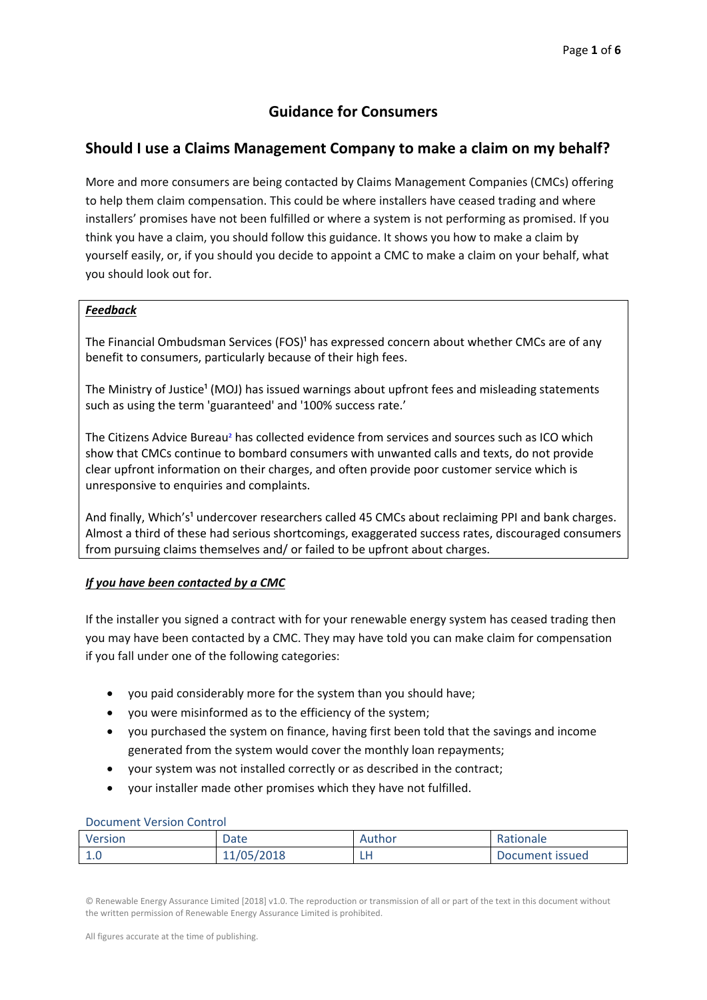# **Guidance for Consumers**

# **Should I use a Claims Management Company to make a claim on my behalf?**

More and more consumers are being contacted by Claims Management Companies (CMCs) offering to help them claim compensation. This could be where installers have ceased trading and where installers' promises have not been fulfilled or where a system is not performing as promised. If you think you have a claim, you should follow this guidance. It shows you how to make a claim by yourself easily, or, if you should you decide to appoint a CMC to make a claim on your behalf, what you should look out for.

### *Feedback*

The Financial Ombudsman Services (FOS)<sup>1</sup> has expressed concern about whether CMCs are of any benefit to consumers, particularly because of their high fees.

The Ministry of Justice<sup>1</sup> (MOJ) has issued warnings about upfront fees and misleading statements such as using the term 'guaranteed' and '100% success rate.'

The Citizens Advice Bureau² has collected evidence from services and sources such as ICO which show that CMCs continue to bombard consumers with unwanted calls and texts, do not provide clear upfront information on their charges, and often provide poor customer service which is unresponsive to enquiries and complaints.

And finally, Which's<sup>1</sup> undercover researchers called 45 CMCs about reclaiming PPI and bank charges. Almost a third of these had serious shortcomings, exaggerated success rates, discouraged consumers from pursuing claims themselves and/ or failed to be upfront about charges.

### *If you have been contacted by a CMC*

If the installer you signed a contract with for your renewable energy system has ceased trading then you may have been contacted by a CMC. They may have told you can make claim for compensation if you fall under one of the following categories:

- you paid considerably more for the system than you should have;
- you were misinformed as to the efficiency of the system;
- you purchased the system on finance, having first been told that the savings and income generated from the system would cover the monthly loan repayments;
- your system was not installed correctly or as described in the contract;
- your installer made other promises which they have not fulfilled.

#### Document Version Control

| Version | Date       | Author | Rationale       |
|---------|------------|--------|-----------------|
|         | 11/05/2018 | . .    | Document issued |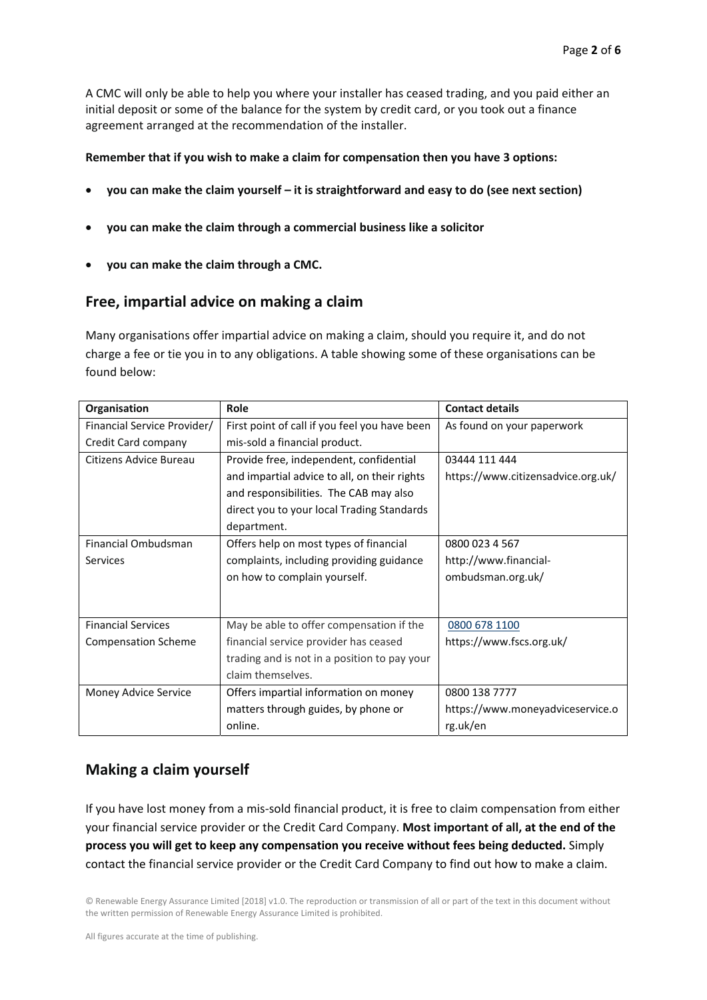A CMC will only be able to help you where your installer has ceased trading, and you paid either an initial deposit or some of the balance for the system by credit card, or you took out a finance agreement arranged at the recommendation of the installer.

### **Remember that if you wish to make a claim for compensation then you have 3 options:**

- **you can make the claim yourself it is straightforward and easy to do (see next section)**
- **you can make the claim through a commercial business like a solicitor**
- **you can make the claim through a CMC.**

## **Free, impartial advice on making a claim**

Many organisations offer impartial advice on making a claim, should you require it, and do not charge a fee or tie you in to any obligations. A table showing some of these organisations can be found below:

| Organisation                | Role                                          | <b>Contact details</b>             |
|-----------------------------|-----------------------------------------------|------------------------------------|
| Financial Service Provider/ | First point of call if you feel you have been | As found on your paperwork         |
| Credit Card company         | mis-sold a financial product.                 |                                    |
| Citizens Advice Bureau      | Provide free, independent, confidential       | 03444 111 444                      |
|                             | and impartial advice to all, on their rights  | https://www.citizensadvice.org.uk/ |
|                             | and responsibilities. The CAB may also        |                                    |
|                             | direct you to your local Trading Standards    |                                    |
|                             | department.                                   |                                    |
| Financial Ombudsman         | Offers help on most types of financial        | 0800 023 4 567                     |
| Services                    | complaints, including providing guidance      | http://www.financial-              |
|                             | on how to complain yourself.                  | ombudsman.org.uk/                  |
|                             |                                               |                                    |
|                             |                                               |                                    |
| <b>Financial Services</b>   | May be able to offer compensation if the      | 0800 678 1100                      |
| <b>Compensation Scheme</b>  | financial service provider has ceased         | https://www.fscs.org.uk/           |
|                             | trading and is not in a position to pay your  |                                    |
|                             | claim themselves.                             |                                    |
| Money Advice Service        | Offers impartial information on money         | 0800 138 7777                      |
|                             | matters through guides, by phone or           | https://www.moneyadviceservice.o   |
|                             | online.                                       | rg.uk/en                           |

## **Making a claim yourself**

If you have lost money from a mis‐sold financial product, it is free to claim compensation from either your financial service provider or the Credit Card Company. **Most important of all, at the end of the process you will get to keep any compensation you receive without fees being deducted.** Simply contact the financial service provider or the Credit Card Company to find out how to make a claim.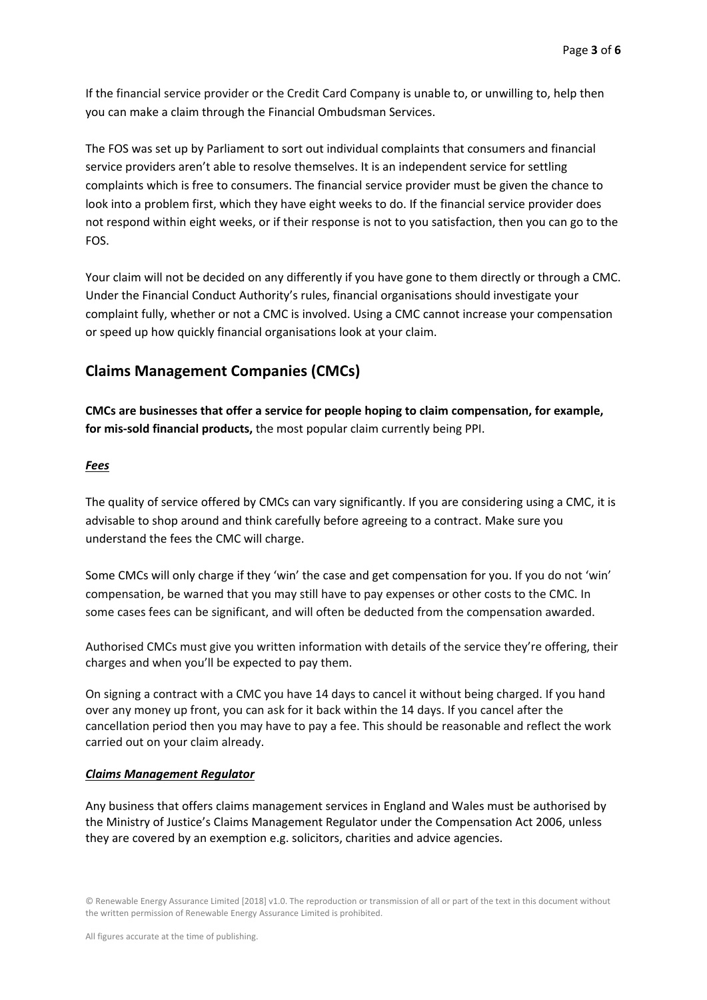If the financial service provider or the Credit Card Company is unable to, or unwilling to, help then you can make a claim through the Financial Ombudsman Services.

The FOS was set up by Parliament to sort out individual complaints that consumers and financial service providers aren't able to resolve themselves. It is an independent service for settling complaints which is free to consumers. The financial service provider must be given the chance to look into a problem first, which they have eight weeks to do. If the financial service provider does not respond within eight weeks, or if their response is not to you satisfaction, then you can go to the FOS.

Your claim will not be decided on any differently if you have gone to them directly or through a CMC. Under the Financial Conduct Authority's rules, financial organisations should investigate your complaint fully, whether or not a CMC is involved. Using a CMC cannot increase your compensation or speed up how quickly financial organisations look at your claim.

### **Claims Management Companies (CMCs)**

**CMCs are businesses that offer a service for people hoping to claim compensation, for example, for mis‐sold financial products,** the most popular claim currently being PPI.

#### *Fees*

The quality of service offered by CMCs can vary significantly. If you are considering using a CMC, it is advisable to shop around and think carefully before agreeing to a contract. Make sure you understand the fees the CMC will charge.

Some CMCs will only charge if they 'win' the case and get compensation for you. If you do not 'win' compensation, be warned that you may still have to pay expenses or other costs to the CMC. In some cases fees can be significant, and will often be deducted from the compensation awarded.

Authorised CMCs must give you written information with details of the service they're offering, their charges and when you'll be expected to pay them.

On signing a contract with a CMC you have 14 days to cancel it without being charged. If you hand over any money up front, you can ask for it back within the 14 days. If you cancel after the cancellation period then you may have to pay a fee. This should be reasonable and reflect the work carried out on your claim already.

#### *Claims Management Regulator*

Any business that offers claims management services in England and Wales must be authorised by the Ministry of Justice's Claims Management Regulator under the Compensation Act 2006, unless they are covered by an exemption e.g. solicitors, charities and advice agencies.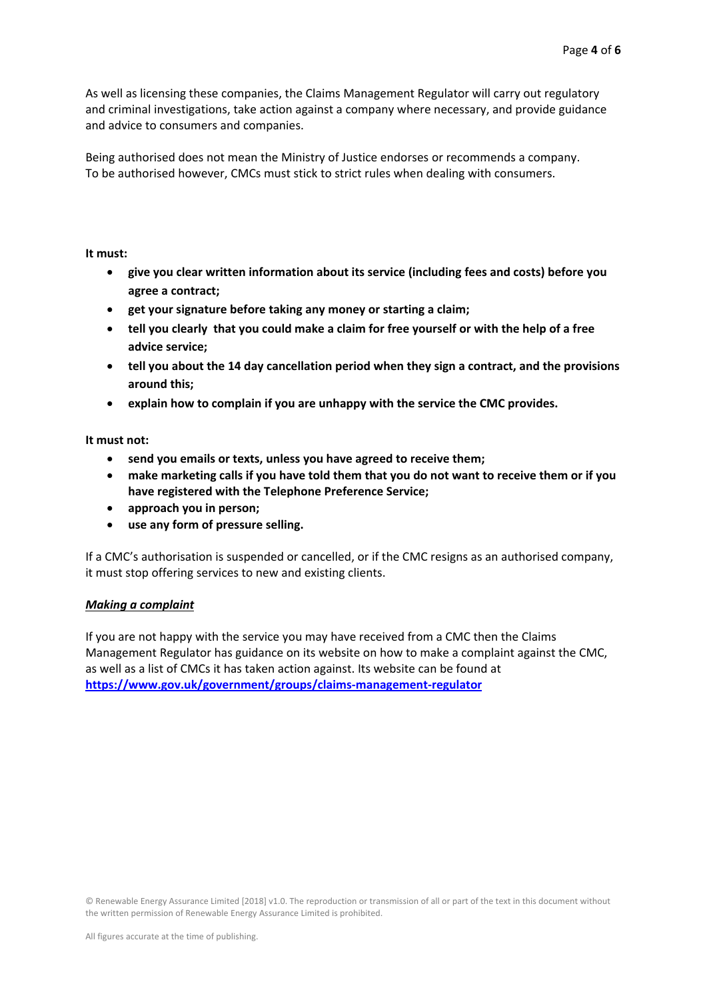As well as licensing these companies, the Claims Management Regulator will carry out regulatory and criminal investigations, take action against a company where necessary, and provide guidance and advice to consumers and companies.

Being authorised does not mean the Ministry of Justice endorses or recommends a company. To be authorised however, CMCs must stick to strict rules when dealing with consumers.

**It must:** 

- **give you clear written information about its service (including fees and costs) before you agree a contract;**
- **get your signature before taking any money or starting a claim;**
- **tell you clearly that you could make a claim for free yourself or with the help of a free advice service;**
- **tell you about the 14 day cancellation period when they sign a contract, and the provisions around this;**
- **explain how to complain if you are unhappy with the service the CMC provides.**

**It must not:** 

- **send you emails or texts, unless you have agreed to receive them;**
- **make marketing calls if you have told them that you do not want to receive them or if you have registered with the Telephone Preference Service;**
- **approach you in person;**
- **use any form of pressure selling.**

If a CMC's authorisation is suspended or cancelled, or if the CMC resigns as an authorised company, it must stop offering services to new and existing clients.

### *Making a complaint*

If you are not happy with the service you may have received from a CMC then the Claims Management Regulator has guidance on its website on how to make a complaint against the CMC, as well as a list of CMCs it has taken action against. Its website can be found at **https://www.gov.uk/government/groups/claims‐management‐regulator**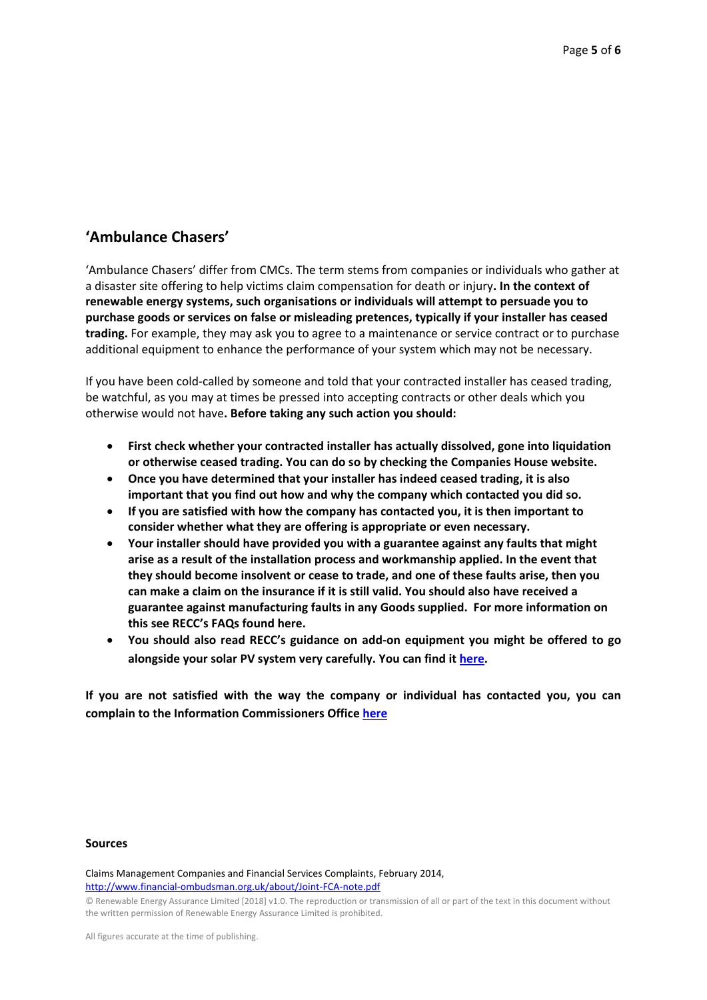# **'Ambulance Chasers'**

'Ambulance Chasers' differ from CMCs. The term stems from companies or individuals who gather at a disaster site offering to help victims claim compensation for death or injury**. In the context of renewable energy systems, such organisations or individuals will attempt to persuade you to purchase goods or services on false or misleading pretences, typically if your installer has ceased trading.** For example, they may ask you to agree to a maintenance or service contract or to purchase additional equipment to enhance the performance of your system which may not be necessary.

If you have been cold‐called by someone and told that your contracted installer has ceased trading, be watchful, as you may at times be pressed into accepting contracts or other deals which you otherwise would not have**. Before taking any such action you should:** 

- **First check whether your contracted installer has actually dissolved, gone into liquidation or otherwise ceased trading. You can do so by checking the Companies House website.**
- **Once you have determined that your installer has indeed ceased trading, it is also important that you find out how and why the company which contacted you did so.**
- **If you are satisfied with how the company has contacted you, it is then important to consider whether what they are offering is appropriate or even necessary.**
- **Your installer should have provided you with a guarantee against any faults that might arise as a result of the installation process and workmanship applied. In the event that they should become insolvent or cease to trade, and one of these faults arise, then you can make a claim on the insurance if it is still valid. You should also have received a guarantee against manufacturing faults in any Goods supplied. For more information on this see RECC's FAQs found here.**
- **You should also read RECC's guidance on add‐on equipment you might be offered to go alongside your solar PV system very carefully. You can find it here.**

**If you are not satisfied with the way the company or individual has contacted you, you can complain to the Information Commissioners Office here**

#### **Sources**

Claims Management Companies and Financial Services Complaints, February 2014, http://www.financial‐ombudsman.org.uk/about/Joint‐FCA‐note.pdf